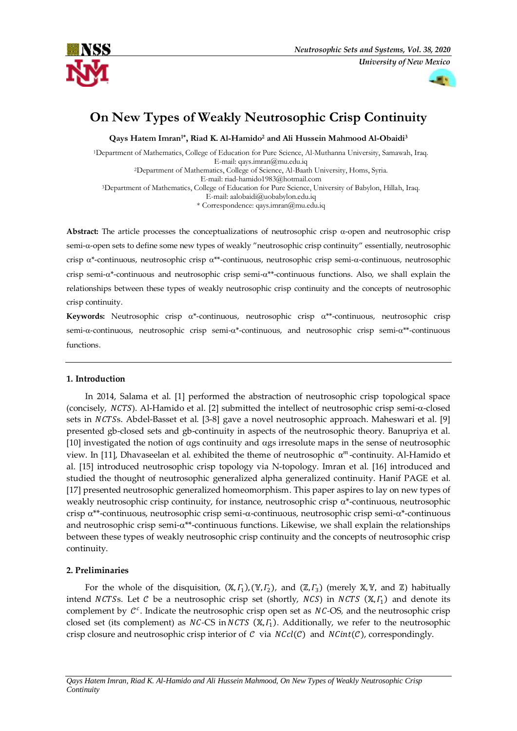



# **On New Types of Weakly Neutrosophic Crisp Continuity**

**Qays Hatem Imran1\* , Riad K. Al-Hamido<sup>2</sup> and Ali Hussein Mahmood Al-Obaidi<sup>3</sup>**

<sup>1</sup>Department of Mathematics, College of Education for Pure Science, Al-Muthanna University, Samawah, Iraq. E-mail[: qays.imran@mu.edu.iq](mailto:qays.imran@mu.edu.iq) <sup>2</sup>Department of Mathematics, College of Science, Al-Baath University, Homs, Syria. E-mail[: riad-hamido1983@hotmail.com](mailto:riad-hamido1983@hotmail.com)  <sup>3</sup>Department of Mathematics, College of Education for Pure Science, University of Babylon, Hillah, Iraq. E-mail: [aalobaidi@uobabylon.edu.iq](mailto:aalobaidi@uobabylon.edu.iq)  \* Correspondence[: qays.imran@mu.edu.iq](mailto:qays.imran@mu.edu.iq)

Abstract: The article processes the conceptualizations of neutrosophic crisp  $\alpha$ -open and neutrosophic crisp semi- $\alpha$ -open sets to define some new types of weakly "neutrosophic crisp continuity" essentially, neutrosophic crisp  $\alpha^*$ -continuous, neutrosophic crisp  $\alpha^{**}$ -continuous, neutrosophic crisp semi- $\alpha$ -continuous, neutrosophic crisp semi- $\alpha^*$ -continuous and neutrosophic crisp semi- $\alpha^{**}$ -continuous functions. Also, we shall explain the relationships between these types of weakly neutrosophic crisp continuity and the concepts of neutrosophic crisp continuity.

**Keywords:** Neutrosophic crisp  $\alpha^*$ -continuous, neutrosophic crisp  $\alpha^{**}$ -continuous, neutrosophic crisp semi- $\alpha$ -continuous, neutrosophic crisp semi- $\alpha^*$ -continuous, and neutrosophic crisp semi- $\alpha^{**}$ -continuous functions.

# **1. Introduction**

In 2014, Salama et al. [1] performed the abstraction of neutrosophic crisp topological space (concisely,  $NCTS$ ). Al-Hamido et al. [2] submitted the intellect of neutrosophic crisp semi- $\alpha$ -closed sets in NCTSs. Abdel-Basset et al. [3-8] gave a novel neutrosophic approach. Maheswari et al. [9] presented gb-closed sets and gb-continuity in aspects of the neutrosophic theory. Banupriya et al.  $[10]$  investigated the notion of  $\alpha$ gs continuity and  $\alpha$ gs irresolute maps in the sense of neutrosophic view. In [11], Dhavaseelan et al. exhibited the theme of neutrosophic  $\alpha^m$ -continuity. Al-Hamido et al. [15] introduced [neutrosophic crisp topology via N-topology.](http://fs.unm.edu/NSS/OnNeutrosophicCrispTopology-NSS.23.pdf) Imran et al. [16] introduced and studied the thought of neutrosophic generalized alpha generalized continuity. Hanif PAGE et al. [17] presented neutrosophic generalized homeomorphism. This paper aspires to lay on new types of weakly neutrosophic crisp continuity, for instance, neutrosophic crisp  $\alpha^*$ -continuous, neutrosophic crisp  $\alpha^{**}$ -continuous, neutrosophic crisp semi- $\alpha$ -continuous, neutrosophic crisp semi- $\alpha^*$ -continuous and neutrosophic crisp semi- $\alpha^{**}$ -continuous functions. Likewise, we shall explain the relationships between these types of weakly neutrosophic crisp continuity and the concepts of neutrosophic crisp continuity.

# **2. Preliminaries**

For the whole of the disquisition,  $(X, \Gamma_1)$ ,  $(Y, \Gamma_2)$ , and  $(Z, \Gamma_3)$  (merely X, Y, and Z) habitually intend NCTSs. Let C be a neutrosophic crisp set (shortly, NCS) in NCTS  $(X, \Gamma_1)$  and denote its complement by  $C^c$ . Indicate the neutrosophic crisp open set as *NC*-OS, and the neutrosophic crisp closed set (its complement) as *NC-CS* in *NCTS* (X,  $\Gamma_1$ ). Additionally, we refer to the neutrosophic crisp closure and neutrosophic crisp interior of  $C$  via  $NCcl(C)$  and  $NCint(C)$ , correspondingly.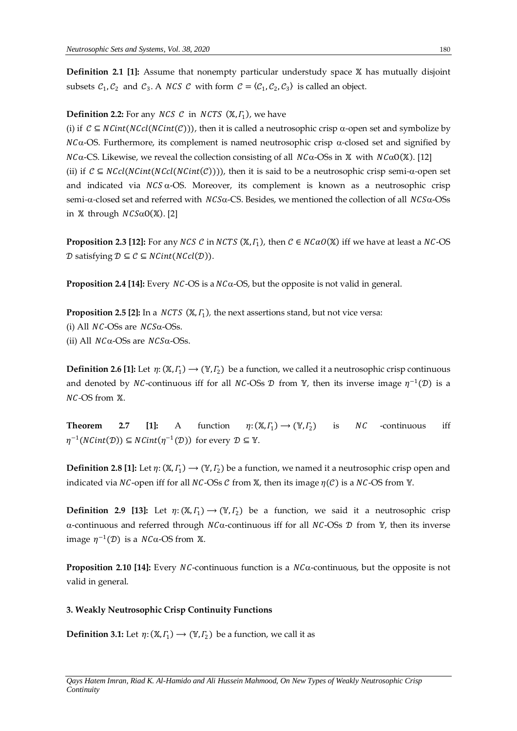**Definition 2.1 [1]:** Assume that nonempty particular understudy space X has mutually disjoint subsets  $C_1, C_2$  and  $C_3$ . A *NCS C* with form  $C = (C_1, C_2, C_3)$  is called an object.

# **Definition 2.2:** For any  $NCS$   $C$  in  $NCTS$   $(X, \Gamma_1)$ , we have

(i) if  $C \subseteq NCint(NCic(nC)))$ , then it is called a neutrosophic crisp  $\alpha$ -open set and symbolize by  $NC\alpha$ -OS. Furthermore, its complement is named neutrosophic crisp  $\alpha$ -closed set and signified by  $N\text{Ca-CS}$ . Likewise, we reveal the collection consisting of all  $N\text{Ca-OSs}$  in X with  $N\text{CaO(X)}$ . [12] (ii) if  $C \subseteq NCcl(NCint(NCint(C)))$ , then it is said to be a neutrosophic crisp semi- $\alpha$ -open set and indicated via  $NCS \alpha$ -OS. Moreover, its complement is known as a neutrosophic crisp semi- $\alpha$ -closed set and referred with  $NCS\alpha$ -CS. Besides, we mentioned the collection of all  $NCS\alpha$ -OSs in  $X$  through  $NCS\alpha O(X)$ . [2]

**Proposition 2.3 [12]:** For any NCS C in NCTS ( $X, \Gamma_1$ ), then  $C \in NCaO(X)$  iff we have at least a NC-OS D satisfying  $D \subseteq C \subseteq NCint(NCcl(D)).$ 

**Proposition 2.4 [14]:** Every  $NC$ -OS is a  $NC\alpha$ -OS, but the opposite is not valid in general.

**Proposition 2.5 [2]:** In a  $NCTS$   $(X, \Gamma_1)$ , the next assertions stand, but not vice versa: (i) All  $NC$ -OSs are  $NCS\alpha$ -OSs. (ii) All  $NC\alpha$ -OSs are  $NCS\alpha$ -OSs.

**Definition 2.6 [1]:** Let  $\eta: (\mathbb{X}, \Gamma_1) \to (\mathbb{Y}, \Gamma_2)$  be a function, we called it a neutrosophic crisp continuous and denoted by NC-continuous iff for all NC-OSs  $\mathcal D$  from  $\mathbb Y$ , then its inverse image  $\eta^{-1}(\mathcal D)$  is a *NC*-OS from **X**.

**Theorem 2.7 [1]:** A function  $) \rightarrow (\mathbb{Y}, I_2)$  is *NC* -continuous iff  $\eta^{-1}(NCint(\mathcal{D})) \subseteq NCint(\eta^{-1}(\mathcal{D}))$  for every  $\mathcal{D} \subseteq \mathbb{Y}$ .

**Definition 2.8 [1]:** Let  $\eta: (\mathbb{X}, \Gamma_1) \to (\mathbb{Y}, \Gamma_2)$  be a function, we named it a neutrosophic crisp open and indicated via NC-open iff for all NC-OSs  $\mathcal C$  from X, then its image  $\eta(\mathcal C)$  is a NC-OS from Y.

**Definition 2.9 [13]:** Let  $\eta: (\mathbb{X}, \Gamma_1) \to (\mathbb{Y}, \Gamma_2)$  be a function, we said it a neutrosophic crisp  $\alpha$ -continuous and referred through  $NC\alpha$ -continuous iff for all  $NC$ -OSs  $\mathcal D$  from Y, then its inverse image  $\eta^{-1}(\mathcal{D})$  is a  $\mathit{NC}\alpha\text{-}\mathrm{OS}$  from  $\mathbb X$ .

**Proposition 2.10 [14]:** Every NC-continuous function is a  $N C \alpha$ -continuous, but the opposite is not valid in general.

### **3. Weakly Neutrosophic Crisp Continuity Functions**

**Definition 3.1:** Let  $\eta: (\mathbb{X}, \Gamma_1) \longrightarrow (\mathbb{Y}, \Gamma_2)$  be a function, we call it as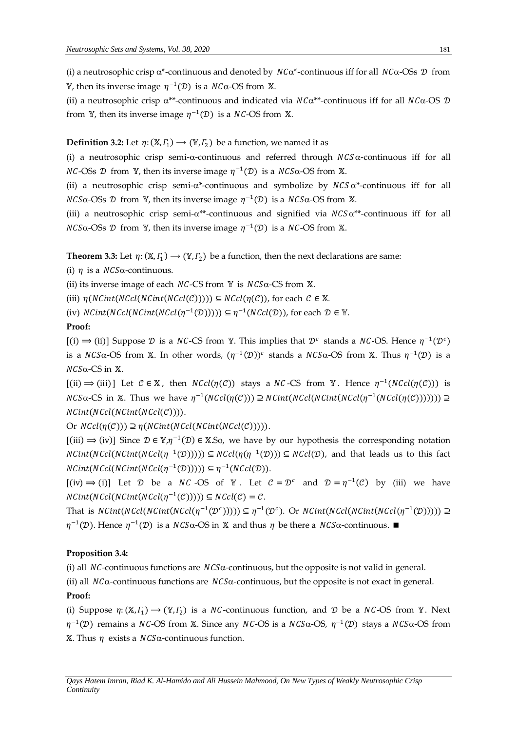(i) a neutrosophic crisp  $\alpha^*$ -continuous and denoted by  $NC\alpha^*$ -continuous iff for all  $NC\alpha$ -OSs  $\mathcal D$  from <sup>γ</sup>, then its inverse image  $η^{-1}(D)$  is a  $NCa\text{-OS}$  from  $\mathbb X$ .

(ii) a neutrosophic crisp  $\alpha^{**}$ -continuous and indicated via  $NC\alpha^{**}$ -continuous iff for all  $NC\alpha$ -OS  $\mathcal D$ from Y, then its inverse image  $\eta^{-1}(\mathcal{D})$  is a *NC*-OS from X.

## **Definition 3.2:** Let  $\eta$ :  $(\mathbb{X}, \Gamma_1) \rightarrow (\mathbb{Y}, \Gamma_2)$  be a function, we named it as

(i) a neutrosophic crisp semi- $\alpha$ -continuous and referred through  $NCS\alpha$ -continuous iff for all *NC*-OSs  $D$  from  $V$ , then its inverse image  $\eta^{-1}(D)$  is a *NCS* $\alpha$ -OS from  $X$ .

(ii) a neutrosophic crisp semi- $\alpha^*$ -continuous and symbolize by  $NCS\alpha^*$ -continuous iff for all *NCS*α-OSs *D* from Y, then its inverse image  $η^{-1}(D)$  is a *NCS*α-OS from X.

(iii) a neutrosophic crisp semi- $\alpha^{**}$ -continuous and signified via  $NCS\alpha^{**}$ -continuous iff for all  $NCS\alpha$ -OSs  $\mathcal D$  from Y, then its inverse image  $\eta^{-1}(\mathcal D)$  is a  $NC$ -OS from X.

**Theorem 3.3:** Let  $\eta: (\mathbb{X}, \Gamma_1) \to (\mathbb{Y}, \Gamma_2)$  be a function, then the next declarations are same:

(i)  $\eta$  is a  $NCS\alpha$ -continuous.

(ii) its inverse image of each  $NC$ -CS from Y is  $NC$ -CS from X.

(iii)  $\eta(NCint(NCcl(NCicl(C)))) \subseteq NCcl(\eta(C))$ , for each  $C \in \mathbb{X}$ .

(iv)  $NCint(NCcl(NCcl(\eta^{-1}(D)))) \subseteq \eta^{-1}(NCcl(\mathcal{D})),$  for each  $\mathcal{D} \in \mathbb{Y}$ .

## **Proof:**

[(i) ⇒ (ii)] Suppose *D* is a *NC*-CS from *Y*. This implies that *D<sup>c</sup>* stands a *NC*-OS. Hence  $η^{-1}(D^c)$ is a NCS $\alpha$ -OS from X. In other words,  $(\eta^{-1}(\mathcal{D}))^c$  stands a NCS $\alpha$ -OS from X. Thus  $\eta^{-1}(\mathcal{D})$  is a  $NCS\alpha$ -CS in  $X$ .

[(ii)  $\Rightarrow$  (iii)] Let *C* ∈ X, then *NCcl*(*η*(*C*)) stays a *NC*-CS from Y. Hence *η*<sup>-1</sup>(*NCcl*(*η*(*C*))) is  $NCS\alpha{\text -CS}}$  in  $\mathbb X$ . Thus we have  $\eta^{-1}(NCcl(\eta(\mathcal C)))\supseteq NCint(NCcl(\eta Ccl(\eta^{-1}(NCcl(\eta(\mathcal C))))))\supseteq$  $NCint(NCcl(NCint(NCcl(C))))$ .

Or  $NCcl(\eta(\mathcal{C})) \supseteq \eta(NCint(NCcl(NCint(NCcl(\mathcal{C}))))$ .

 $[(iii) \Rightarrow (iv)]$  Since  $\mathcal{D} \in \mathbb{Y}, \eta^{-1}(\mathcal{D}) \in \mathbb{X}.$  So, we have by our hypothesis the corresponding notation  $NCint(NCcl(NCint(NCcl(\eta^{-1}(D)))) \subseteq NCcl(\eta(\eta^{-1}(D))) \subseteq NCcl(\mathcal{D})$ , and that leads us to this fact  $NCint(NCcl(NCint(NCcl(\eta^{-1}(D)))) \subseteq \eta^{-1}(NCcl(\mathcal{D})).$ 

 $[(iv) \Rightarrow (i)]$  Let  $D$  be a *NC* -OS of  $Y$ . Let  $C = D^c$  and  $D = \eta^{-1}(C)$  by (iii) we have  $NCint(NCcl(NCint(NCcl(\eta^{-1}(C)))) \subseteq NCcl(\mathcal{C}) = \mathcal{C}.$ 

That is  $NCint(NCcl(NCint(NCcl(\eta^{-1}(\mathcal{D}^c)))) \subseteq \eta^{-1}(\mathcal{D}^c)$ . Or  $NCint(NCcl(NCint(NCcl(\eta^{-1}(\mathcal{D})))) \supseteq$  $\eta^{-1}(\mathcal{D})$ . Hence  $\eta^{-1}(\mathcal{D})$  is a *NCS*α-OS in X and thus  $\eta$  be there a *NCS*α-continuous. ■

### **Proposition 3.4:**

(i) all  $NC$ -continuous functions are  $NCS\alpha$ -continuous, but the opposite is not valid in general.

(ii) all  $NCA$ -continuous functions are  $NCS\alpha$ -continuous, but the opposite is not exact in general. **Proof:** 

(i) Suppose  $\eta: (\mathbb{X}, \Gamma_1) \to (\mathbb{Y}, \Gamma_2)$  is a NC-continuous function, and D be a NC-OS from Y. Next  $η^{-1}(D)$  remains a NC-OS from X. Since any NC-OS is a NCSα-OS,  $η^{-1}(D)$  stays a NCSα-OS from  $X$ . Thus  $\eta$  exists a  $NCS\alpha$ -continuous function.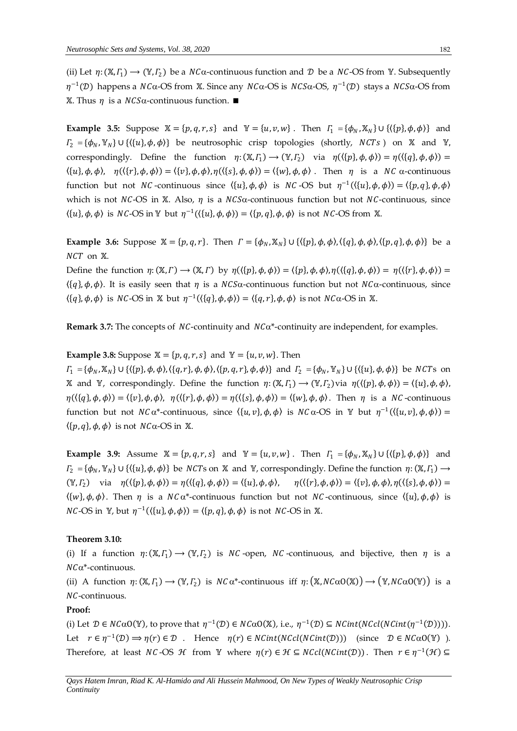(ii) Let  $\eta: (X, \Gamma_1) \to (Y, \Gamma_2)$  be a  $NC\alpha$ -continuous function and  $D$  be a  $NC$ -OS from Y. Subsequently  $\eta^{-1}$ (D) happens a NCα-OS from X. Since any NCα-OS is NCSα-OS,  $\eta^{-1}$ (D) stays a NCSα-OS from  $X$ . Thus *η* is a *NCS*α-continuous function. ■

**Example 3.5:** Suppose  $X = \{p, q, r, s\}$  and  $Y = \{u, v, w\}$ . Then  $\Gamma_1 = \{\phi_N, X_N\} \cup \{\langle \{p\}, \phi, \phi \rangle\}$  and  $T_2 = {\phi_N, \mathbb{Y}_N} \cup {\{\langle \{u\}, \phi, \phi \rangle\}}$  be neutrosophic crisp topologies (shortly, NCTs) on X and Y, correspondingly. Define the function  $\eta: (\mathbb{X}, F_1) \to (\mathbb{Y}, F_2)$  via  $\eta(\langle \{p\}, \phi, \phi \rangle) = \eta(\langle \{q\}, \phi, \phi \rangle) =$  $\langle \{u\}, \phi, \phi \rangle$ ,  $\eta(\langle \{r\}, \phi, \phi \rangle) = \langle \{v\}, \phi, \phi \rangle$ ,  $\eta(\langle \{s\}, \phi, \phi \rangle) = \langle \{w\}, \phi, \phi \rangle$ . Then  $\eta$  is a NC  $\alpha$ -continuous function but not *NC*-continuous since  $\langle \{u\}, \phi, \phi \rangle$  is *NC*-OS but  $\eta^{-1}(\langle \{u\}, \phi, \phi \rangle) = \langle \{p, q\}, \phi, \phi \rangle$ which is not NC-OS in X. Also,  $\eta$  is a NCS $\alpha$ -continuous function but not NC-continuous, since  $\langle \{u\}, \phi, \phi \rangle$  is NC-OS in Y but  $\eta^{-1}(\langle \{u\}, \phi, \phi \rangle) = \langle \{p, q\}, \phi, \phi \rangle$  is not NC-OS from X.

**Example 3.6:** Suppose  $\mathbb{X} = \{p, q, r\}$ . Then  $\Gamma = \{\phi_N, \mathbb{X}_N\} \cup \{\langle \{p\}, \phi, \phi \rangle, \langle \{q\}, \phi, \phi \rangle, \langle \{p, q\}, \phi, \phi \rangle\}$  be a  $NCT$  on  $X$ .

Define the function  $\eta: (\mathbb{X}, \Gamma) \to (\mathbb{X}, \Gamma)$  by  $\eta(\langle \{p\}, \phi, \phi \rangle) = \langle \{p\}, \phi, \phi \rangle, \eta(\langle \{q\}, \phi, \phi \rangle) = \eta(\langle \{r\}, \phi, \phi \rangle) =$  $\langle \{q\}, \phi, \phi \rangle$ . It is easily seen that  $\eta$  is a  $NCS\alpha$ -continuous function but not  $NC\alpha$ -continuous, since  $\langle \{q\}, \phi, \phi \rangle$  is NC-OS in X but  $\eta^{-1}(\langle \{q\}, \phi, \phi \rangle) = \langle \{q, r\}, \phi, \phi \rangle$  is not NC $\alpha$ -OS in X.

**Remark 3.7:** The concepts of  $NC$ -continuity and  $NC\alpha^*$ -continuity are independent, for examples.

### **Example 3.8:** Suppose  $X = \{p, q, r, s\}$  and  $Y = \{u, v, w\}$ . Then

 $\Gamma_1 = {\phi_N, \mathbb{X}_N} \cup {\{\{p\}, \phi, \phi\}, \{\{q, r\}, \phi, \phi\}, \{\{p, q, r\}, \phi, \phi\}\}$  and  $\Gamma_2 = {\phi_N, \mathbb{Y}_N} \cup {\{\{u\}, \phi, \phi\}}$  be NCTs on X and Y, correspondingly. Define the function  $\eta: (X, \Gamma_1) \to (Y, \Gamma_2)$  via  $\eta(\langle \{p\}, \phi, \phi \rangle) = \langle \{u\}, \phi, \phi \rangle$  $\eta(\langle \{q\}, \phi, \phi \rangle) = \langle \{v\}, \phi, \phi \rangle$ ,  $\eta(\langle \{r\}, \phi, \phi \rangle) = \eta(\langle \{s\}, \phi, \phi \rangle) = \langle \{w\}, \phi, \phi \rangle$ . Then  $\eta$  is a NC-continuous function but not  $NC\alpha^*$ -continuous, since  $\langle \{u, v\}, \phi, \phi \rangle$  is  $NC\alpha$ -OS in Y but  $\eta^{-1}(\langle \{u, v\}, \phi, \phi \rangle)$  =  $\langle \{p, q\}, \phi, \phi \rangle$  is not  $NC\alpha$ -OS in X.

**Example 3.9:** Assume  $X = \{p, q, r, s\}$  and  $Y = \{u, v, w\}$ . Then  $\Gamma_1 = \{\phi_N, X_N\} \cup \{\langle \{p\}, \phi, \phi \rangle\}$  and  $I_2 = \{\phi_N, \mathbb{Y}_N\} \cup \{\langle \{u\}, \phi, \phi \rangle\}$  be NCTs on X and Y, correspondingly. Define the function  $\eta: (\mathbb{X}, I_1) \to$  $(\mathbb{Y}, \Gamma_2)$  via  $\eta(\langle \{p\}, \phi, \phi \rangle) = \eta(\langle \{q\}, \phi, \phi \rangle) = \langle \{u\}, \phi, \phi \rangle, \quad \eta(\langle \{r\}, \phi, \phi \rangle) = \langle \{v\}, \phi, \phi \rangle, \eta(\langle \{s\}, \phi, \phi \rangle) =$  $\langle \{w\}, \phi, \phi \rangle$ . Then  $\eta$  is a NC  $\alpha^*$ -continuous function but not NC-continuous, since  $\langle \{u\}, \phi, \phi \rangle$  is  $NC\text{-}OS$  in  $\mathbb{Y}$ , but  $\eta^{-1}(\langle \{u\}, \phi, \phi \rangle) = \langle \{p, q\}, \phi, \phi \rangle$  is not  $NC\text{-}OS$  in  $\mathbb{X}$ .

## **Theorem 3.10:**

(i) If a function  $\eta: (\mathbb{X}, \Gamma_1) \to (\mathbb{Y}, \Gamma_2)$  is NC-open, NC-continuous, and bijective, then  $\eta$  is a  $NC\alpha^*$ -continuous.

(ii) A function  $\eta: (\mathbb{X}, F_1) \to (\mathbb{Y}, F_2)$  is  $NC\alpha^*$ -continuous iff  $\eta: (\mathbb{X}, NC\alpha O(\mathbb{X})) \to (\mathbb{Y}, NC\alpha O(\mathbb{Y}))$  is a NC-continuous.

### **Proof:**

(i) Let  $\mathcal{D} \in NC\alpha O(\mathbb{Y})$ , to prove that  $\eta^{-1}(\mathcal{D}) \in NC\alpha O(\mathbb{X})$ , i.e.,  $\eta^{-1}(\mathcal{D}) \subseteq NCint(NCint(\eta^{-1}(\mathcal{D})))$ . Let  $r \in \eta^{-1}(\mathcal{D}) \Rightarrow \eta(r) \in \mathcal{D}$ . Hence  $\eta(r) \in \text{NCint}(\text{NCil}(\text{NCint}(\mathcal{D})))$  (since  $\mathcal{D} \in \text{NC}\alpha O(\mathbb{Y})$ ). Therefore, at least *NC*-OS *H* from Y where  $\eta(r) \in H \subseteq NCcl(NCint(\mathcal{D}))$ . Then  $r \in \eta^{-1}(\mathcal{H}) \subseteq$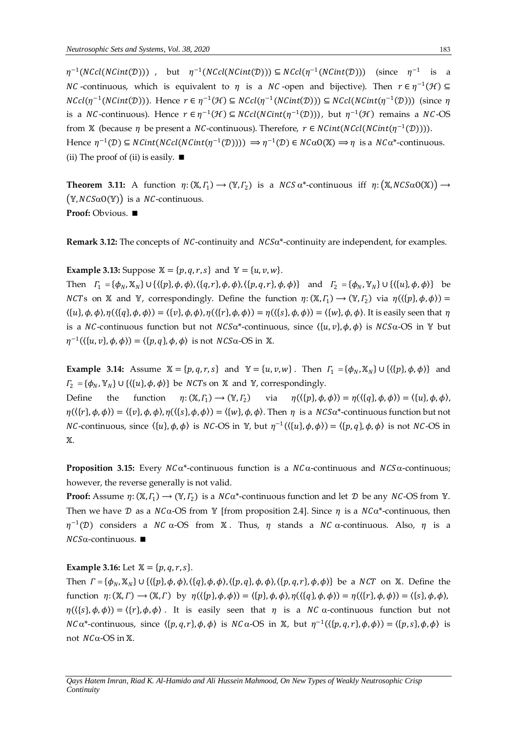$\eta^{-1}(NCcl(NCint(\mathcal{D})))$  , but  $\eta^{-1}(NCcl(NCint(\mathcal{D}))) \subseteq NCcl(\eta^{-1}(NCint(\mathcal{D})))$  (since  $\eta^{-1}$  is a *NC* -continuous, which is equivalent to  $\eta$  is a *NC* -open and bijective). Then  $r \in \eta^{-1}(\mathcal{H}) \subseteq$  $NCcl(\eta^{-1}(NCint(\mathcal{D})))$ . Hence  $r \in \eta^{-1}(\mathcal{H}) \subseteq NCcl(\eta^{-1}(NCint(\mathcal{D}))) \subseteq NCcl(NCint(\eta^{-1}(\mathcal{D})))$  (since  $\eta$ is a NC-continuous). Hence  $r \in \eta^{-1}(\mathcal{H}) \subseteq NCcl(NCint(\eta^{-1}(\mathcal{D})))$ , but  $\eta^{-1}(\mathcal{H})$  remains a NC-OS from X (because  $\eta$  be present a *NC*-continuous). Therefore,  $r \in NCint(NCcl(NCint(\eta^{-1}(D))))$ . Hence  $\eta^{-1}(\mathcal{D}) \subseteq \text{NCint}(\text{NCcl}(\text{NCint}(\eta^{-1}(\mathcal{D})))) \Rightarrow \eta^{-1}(\mathcal{D}) \in \text{NC}\alpha 0(\mathbb{X}) \Rightarrow \eta$  is a  $\text{NC}\alpha^*$ -continuous. (ii) The proof of (ii) is easily.  $\blacksquare$ 

**Theorem 3.11:** A function  $\eta: (\mathbb{X}, \Gamma_1) \to (\mathbb{Y}, \Gamma_2)$  is a  $NCS \alpha^*$ -continuous iff  $\eta: (\mathbb{X}, NCS\alpha O(\mathbb{X})) \to$  $(\mathbb{Y}, NCS\alpha O(\mathbb{Y}))$  is a *NC*-continuous. **Proof:** Obvious.

Remark 3.12: The concepts of NC-continuity and NCS $\alpha^*$ -continuity are independent, for examples.

## **Example 3.13:** Suppose  $X = \{p, q, r, s\}$  and  $Y = \{u, v, w\}$ .

Then  $\Gamma_1 = {\phi_N, \mathbb{X}_N} \cup {\{\{p\}, \phi, \phi\}, \{\{q, r\}, \phi, \phi\}, \{\{p, q, r\}, \phi, \phi\}\}$  and  $\Gamma_2 = {\phi_N, \mathbb{Y}_N} \cup {\{\{u\}, \phi, \phi\}}$  be *NCTs* on X and Y, correspondingly. Define the function  $\eta: (X, \Gamma_1) \to (Y, \Gamma_2)$  via  $\eta(\langle \{p\}, \phi, \phi \rangle) =$  $\langle \{u\}, \phi, \phi \rangle$ ,  $\eta(\langle \{q\}, \phi, \phi \rangle) = \langle \{v\}, \phi, \phi \rangle$ ,  $\eta(\langle \{r\}, \phi, \phi \rangle) = \eta(\langle \{s\}, \phi, \phi \rangle) = \langle \{w\}, \phi, \phi \rangle$ . It is easily seen that  $\eta$ is a NC-continuous function but not  $NCS\alpha^*$ -continuous, since  $\langle \{u, v\}, \phi, \phi \rangle$  is  $NCS\alpha$ -OS in Y but  $\eta^{-1}(\langle \{u, v\}, \phi, \phi \rangle) = \langle \{p, q\}, \phi, \phi \rangle$  is not  $NCS\alpha$ -OS in X.

**Example 3.14:** Assume  $\mathbb{X} = \{p, q, r, s\}$  and  $\mathbb{Y} = \{u, v, w\}$ . Then  $\Gamma_1 = \{\phi_N, \mathbb{X}_N\} \cup \{\langle \{p\}, \phi, \phi \rangle\}$  and  $\Gamma_2 = {\phi_N, \mathbb{Y}_N}$   $\cup$   $\{\langle \{u\}, \phi, \phi \rangle\}$  be *NCTs* on  $\mathbb{X}$  and  $\mathbb{Y}$ , correspondingly.

Define the function  $\eta: (\mathbb{X}, \Gamma_1) \longrightarrow (\mathbb{Y}, \Gamma_2)$ via  $\eta(\langle \{p\}, \phi, \phi \rangle) = \eta(\langle \{q\}, \phi, \phi \rangle) = \langle \{u\}, \phi, \phi \rangle,$  $\eta(\langle \{r\}, \phi, \phi \rangle) = \langle \{v\}, \phi, \phi \rangle, \eta(\langle \{s\}, \phi, \phi \rangle) = \langle \{w\}, \phi, \phi \rangle$ . Then  $\eta$  is a  $NCS\alpha^*$ -continuous function but not *NC*-continuous, since  $\langle \{u\}, \phi, \phi \rangle$  is *NC*-OS in Y, but  $\eta^{-1}(\langle \{u\}, \phi, \phi \rangle) = \langle \{p, q\}, \phi, \phi \rangle$  is not *NC*-OS in Ж.

**Proposition 3.15:** Every  $NC\alpha^*$ -continuous function is a  $NC\alpha$ -continuous and  $NCS\alpha$ -continuous; however, the reverse generally is not valid.

**Proof:** Assume  $\eta: (\mathbb{X}, \Gamma_1) \to (\mathbb{Y}, \Gamma_2)$  is a  $NC\alpha^*$ -continuous function and let  $D$  be any  $NC$ -OS from  $\mathbb{Y}$ . Then we have  $\mathcal D$  as a  $NC\alpha$ -OS from Y [from proposition 2.4]. Since  $\eta$  is a  $NC\alpha^*$ -continuous, then  $\eta^{-1}(D)$  considers a NC  $\alpha$ -OS from X. Thus,  $\eta$  stands a NC  $\alpha$ -continuous. Also,  $\eta$  is a  $NCS\alpha$ -continuous.

# **Example 3.16:** Let  $X = \{p, q, r, s\}$ .

Then  $\Gamma = {\phi_N, \mathbb{X}_N} \cup {\{\{p\}, \phi, \phi\}, \{\{q\}, \phi, \phi\}, \{\{p,q\}, \phi, \phi\}, \{\{p,q,r\}, \phi, \phi\}\}\}$  be a *NCT* on X. Define the function  $\eta: (\mathbb{X}, \Gamma) \to (\mathbb{X}, \Gamma)$  by  $\eta(\langle \{p\}, \phi, \phi \rangle) = \langle \{p\}, \phi, \phi \rangle, \eta(\langle \{q\}, \phi, \phi \rangle) = \eta(\langle \{r\}, \phi, \phi \rangle) = \langle \{s\}, \phi, \phi \rangle$ ,  $\eta(\{\{s\},\phi,\phi\}) = \{\{r\},\phi,\phi\}$ . It is easily seen that  $\eta$  is a NC  $\alpha$ -continuous function but not  $NC\alpha^*$ -continuous, since  $\langle \{p,q,r\},\phi,\phi\rangle$  is  $NC\alpha$ -OS in X, but  $\eta^{-1}(\langle \{p,q,r\},\phi,\phi\rangle) = \langle \{p,s\},\phi,\phi\rangle$  is not  $NC\alpha$ -OS in X.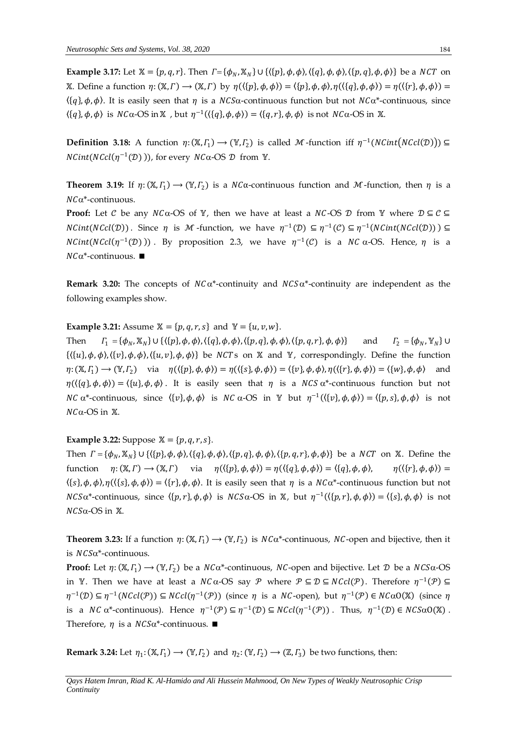**Example 3.17:** Let  $X = \{p, q, r\}$ . Then  $\Gamma = \{\phi_N, X_N\} \cup \{\langle \{p\}, \phi, \phi \rangle, \langle \{q\}, \phi, \phi \rangle, \langle \{p, q\}, \phi, \phi \rangle\}$  be a *NCT* on X. Define a function  $\eta: (\mathbb{X}, \Gamma) \to (\mathbb{X}, \Gamma)$  by  $\eta(\{\{p\}, \phi, \phi\}) = \{\{p\}, \phi, \phi\}, \eta(\{\{q\}, \phi, \phi\}) = \eta(\{\{r\}, \phi, \phi\}) =$  $\langle \{q\}, \phi, \phi \rangle$ . It is easily seen that  $\eta$  is a  $NCS\alpha$ -continuous function but not  $NC\alpha^*$ -continuous, since  $\langle \{q\}, \phi, \phi \rangle$  is  $NC\alpha$ -OS in X, but  $\eta^{-1}(\langle \{q\}, \phi, \phi \rangle) = \langle \{q, r\}, \phi, \phi \rangle$  is not  $NC\alpha$ -OS in X.

**Definition 3.18:** A function  $\eta: (\mathbb{X}, \Gamma_1) \to (\mathbb{Y}, \Gamma_2)$  is called M-function iff  $\eta^{-1}(NCint(NCcl(\mathcal{D}))) \subseteq$  $NCint(NCcl(\eta^{-1}(D)))$ , for every  $NC\alpha$ -OS  $\mathcal D$  from Y.

**Theorem 3.19:** If  $\eta: (\mathbb{X}, \Gamma_1) \to (\mathbb{Y}, \Gamma_2)$  is a NCa-continuous function and M-function, then  $\eta$  is a  $NC\alpha^*$ -continuous.

**Proof:** Let  $C$  be any  $NC\alpha$ -OS of  $Y$ , then we have at least a  $NC$ -OS  $D$  from  $Y$  where  $D \subseteq C \subseteq$  $NCint(NCcl(\mathcal{D}))$ . Since  $\eta$  is  $\mathcal M$ -function, we have  $\eta^{-1}(\mathcal{D}) \subseteq \eta^{-1}(\mathcal{C}) \subseteq \eta^{-1}(NCint(NCcl(\mathcal{D}))) \subseteq$  $NCint(NCcl(\eta^{-1}(D)))$ . By proposition 2.3, we have  $\eta^{-1}(C)$  is a NC  $\alpha$ -OS. Hence,  $\eta$  is a  $NC\alpha^*$ -continuous.

**Remark 3.20:** The concepts of  $NC\alpha^*$ -continuity and  $NCS\alpha^*$ -continuity are independent as the following examples show.

**Example 3.21:** Assume  $X = \{p, q, r, s\}$  and  $Y = \{u, v, w\}$ .

Then  $\Gamma_1 = {\phi_N, \mathbb{X}_N} \cup {\{\{p\}, \phi, \phi\}, \{\{q\}, \phi, \phi\}, \{\{p,q\}, \phi, \phi\}, \{\{p,q,r\}, \phi, \phi\}\}$  and  $\Gamma_2 = {\phi_N, \mathbb{Y}_N}$  $\Gamma_2 = {\phi_N, \mathbb{Y}_N}$  ∪  $\{\langle \{u\}, \phi, \phi \rangle, \langle \{v\}, \phi, \phi \rangle, \langle \{u, v\}, \phi, \phi \rangle\}$  be NCTs on X and Y, correspondingly. Define the function  $\eta: (\mathbb{X}, \Gamma_1) \to (\mathbb{Y}, \Gamma_2)$  via  $\eta(\langle \{p\}, \phi, \phi \rangle) = \eta(\langle \{s\}, \phi, \phi \rangle) = \langle \{v\}, \phi, \phi \rangle, \eta(\langle \{r\}, \phi, \phi \rangle) = \langle \{w\}, \phi, \phi \rangle$  and  $\eta(\{\{q\}, \phi, \phi\}) = \{\{u\}, \phi, \phi\}$ . It is easily seen that  $\eta$  is a  $NCS \alpha^*$ -continuous function but not *NC*  $\alpha^*$ -continuous, since  $\langle \{v\}, \phi, \phi \rangle$  is *NC*  $\alpha$ -OS in  $\mathbb{Y}$  but  $\eta^{-1}(\langle \{v\}, \phi, \phi \rangle) = \langle \{p, s\}, \phi, \phi \rangle$  is not  $NC\alpha$ -OS in X.

# **Example 3.22:** Suppose  $X = \{p, q, r, s\}.$

Then  $\Gamma = {\phi_N, \mathbb{X}_N} \cup {\{\{p\}, \phi, \phi\}, \{\{q\}, \phi, \phi\}, \{\{p,q\}, \phi, \phi\}, \{\{p,q,r\}, \phi, \phi\}\}\}$  be a *NCT* on X. Define the function  $\eta: (\mathbb{X}, \Gamma) \to (\mathbb{X}, \Gamma)$  via  $\eta(\langle \{p\}, \phi, \phi \rangle) = \eta(\langle \{q\}, \phi, \phi \rangle) = \langle \{q\}, \phi, \phi \rangle$ ,  $\eta(\langle \{r\}, \phi, \phi \rangle) =$  $(\{s\}, \phi, \phi), \eta(\{\{s\}, \phi, \phi\}) = (\{r\}, \phi, \phi)$ . It is easily seen that  $\eta$  is a  $NC\alpha^*$ -continuous function but not  $NCS\alpha^*$ -continuous, since  $\langle \{p, r\}, \phi, \phi \rangle$  is  $NCS\alpha$ -OS in X, but  $\eta^{-1}(\langle \{p, r\}, \phi, \phi \rangle) = \langle \{s\}, \phi, \phi \rangle$  is not  $NCS\alpha$ -OS in  $X$ .

**Theorem 3.23:** If a function  $\eta: (\mathbb{X}, \Gamma_1) \to (\mathbb{Y}, \Gamma_2)$  is  $NC\alpha^*$ -continuous, NC-open and bijective, then it is  $NCS\alpha^*$ -continuous.

**Proof:** Let  $\eta: (\mathbb{X}, \Gamma_1) \to (\mathbb{Y}, \Gamma_2)$  be a  $NC\alpha^*$ -continuous,  $NC$ -open and bijective. Let  $\mathcal D$  be a  $NCS\alpha$ -OS in Y. Then we have at least a  $NC \alpha$ -OS say  $\mathcal P$  where  $\mathcal P \subseteq \mathcal D \subseteq NCcl(\mathcal P)$ . Therefore  $\eta^{-1}(\mathcal P) \subseteq$  $η^{-1}(D) ⊆ η^{-1}(NCcl(P)) ⊆ NCcl(η^{-1}(P))$  (since η is a NC-open), but  $η^{-1}(P) ∈ NCαO(X)$  (since η is a NC  $\alpha^*$ -continuous). Hence  $\eta^{-1}(\mathcal{P}) \subseteq \eta^{-1}(\mathcal{D}) \subseteq N}(\eta^{-1}(\mathcal{P}))$ . Thus,  $\eta^{-1}(\mathcal{D}) \in NCS\alpha O(\mathbb{X})$ . Therefore,  $\eta$  is a  $NCS\alpha^*$ -continuous.  $\blacksquare$ 

**Remark 3.24:** Let  $\eta_1: (\mathbb{X}, \Gamma_1) \to (\mathbb{Y}, \Gamma_2)$  and  $\eta_2: (\mathbb{Y}, \Gamma_2) \to (\mathbb{Z}, \Gamma_3)$  be two functions, then: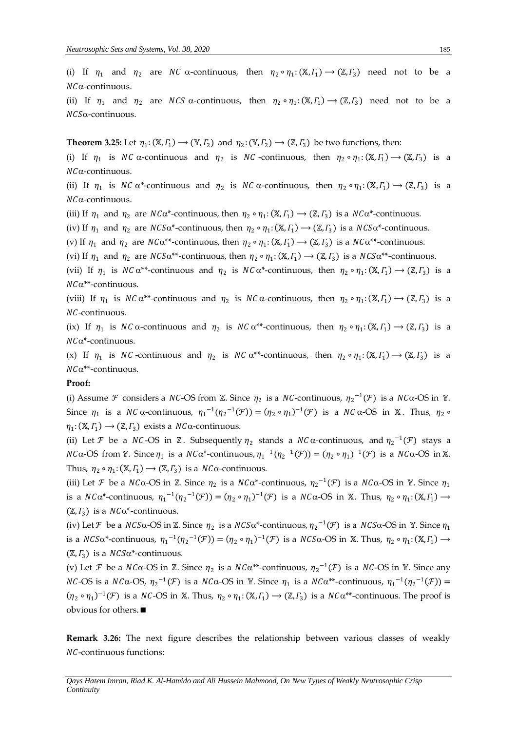(i) If  $\eta_1$  and  $\eta_2$  are NC  $\alpha$ -continuous, then  $\eta_2 \circ \eta_1: (\mathbb{X}, \Gamma_1) \to (\mathbb{Z}, \Gamma_3)$  need not to be a  $NC\alpha$ -continuous.

(ii) If  $\eta_1$  and  $\eta_2$  are NCS  $\alpha$ -continuous, then  $\eta_2 \circ \eta_1: (\mathbb{X}, \Gamma_1) \to (\mathbb{Z}, \Gamma_3)$  need not to be a  $NCS\alpha$ -continuous.

**Theorem 3.25:** Let  $\eta_1: (\mathbb{X}, \Gamma_1) \to (\mathbb{Y}, \Gamma_2)$  and  $\eta_2: (\mathbb{Y}, \Gamma_2) \to (\mathbb{Z}, \Gamma_3)$  be two functions, then:

(i) If  $\eta_1$  is NC  $\alpha$ -continuous and  $\eta_2$  is NC -continuous, then  $\eta_2 \circ \eta_1: (\mathbb{X}, \Gamma_1) \to (\mathbb{Z}, \Gamma_3)$  is a  $NC\alpha$ -continuous.

(ii) If  $\eta_1$  is NC  $\alpha^*$ -continuous and  $\eta_2$  is NC  $\alpha$ -continuous, then  $\eta_2 \circ \eta_1: (\mathbb{X}, \Gamma_1) \to (\mathbb{Z}, \Gamma_3)$  is a  $NC\alpha$ -continuous.

(iii) If  $\eta_1$  and  $\eta_2$  are  $NC\alpha^*$ -continuous, then  $\eta_2 \circ \eta_1: (\mathbb{X}, \Gamma_1) \to (\mathbb{Z}, \Gamma_3)$  is a  $NC\alpha^*$ -continuous.

(iv) If  $\eta_1$  and  $\eta_2$  are  $NCS\alpha^*$ -continuous, then  $\eta_2 \circ \eta_1: (\mathbb{X}, \Gamma_1) \to (\mathbb{Z}, \Gamma_3)$  is a  $NCS\alpha^*$ -continuous.

(v) If  $\eta_1$  and  $\eta_2$  are  $NC\alpha^{**}$ -continuous, then  $\eta_2 \circ \eta_1: (\mathbb{X}, \Gamma_1) \to (\mathbb{Z}, \Gamma_3)$  is a  $NC\alpha^{**}$ -continuous.

(vi) If  $\eta_1$  and  $\eta_2$  are  $NCS\alpha^{**}$ -continuous, then  $\eta_2 \circ \eta_1: (\mathbb{X}, \Gamma_1) \to (\mathbb{Z}, \Gamma_3)$  is a  $NCS\alpha^{**}$ -continuous.

(vii) If  $\eta_1$  is NC  $\alpha^{**}$ -continuous and  $\eta_2$  is NC  $\alpha^*$ -continuous, then  $\eta_2 \circ \eta_1: (\mathbb{X}, \Gamma_1) \to (\mathbb{Z}, \Gamma_3)$  is a  $NC\alpha^{**}$ -continuous.

(viii) If  $\eta_1$  is NC  $\alpha^{**}$ -continuous and  $\eta_2$  is NC  $\alpha$ -continuous, then  $\eta_2 \circ \eta_1: (\mathbb{X}, \Gamma_1) \to (\mathbb{Z}, \Gamma_3)$  is a NC-continuous.

(ix) If  $\eta_1$  is NC  $\alpha$ -continuous and  $\eta_2$  is NC  $\alpha^{**}$ -continuous, then  $\eta_2 \circ \eta_1: (\mathbb{X}, \Gamma_1) \to (\mathbb{Z}, \Gamma_3)$  is a  $NC\alpha^*$ -continuous.

(x) If  $\eta_1$  is NC-continuous and  $\eta_2$  is NC  $\alpha^{**}$ -continuous, then  $\eta_2 \circ \eta_1: (\mathbb{X}, \Gamma_1) \to (\mathbb{Z}, \Gamma_3)$  is a  $NC\alpha^{**}$ -continuous.

#### **Proof:**

(i) Assume *F* considers a *NC*-OS from *Z*. Since  $\eta_2$  is a *NC*-continuous,  $\eta_2^{-1}(\mathcal{F})$  is a *NC* $\alpha$ -OS in *Y*. Since  $\eta_1$  is a NC  $\alpha$ -continuous,  $\eta_1^{-1}(\eta_2^{-1}(\mathcal{F})) = (\eta_2 \circ \eta_1)^{-1}(\mathcal{F})$  is a NC  $\alpha$ -OS in X. Thus,  $\eta_2 \circ$  $\eta_1: (\mathbb{X}, \Gamma_1) \longrightarrow (\mathbb{Z}, \Gamma_3)$  exists a  $NC\alpha$ -continuous.

(ii) Let *F* be a *NC*-OS in  $\mathbb{Z}$ . Subsequently  $\eta_2$  stands a *NC*  $\alpha$ -continuous, and  $\eta_2^{-1}(\mathcal{F})$  stays a *NC* $\alpha$ -OS from Y. Since  $\eta_1$  is a *NC* $\alpha^*$ -continuous,  $\eta_1^{-1}(\eta_2^{-1}(\mathcal{F})) = (\eta_2 \circ \eta_1)^{-1}(\mathcal{F})$  is a *NC* $\alpha$ -OS in X. Thus,  $\eta_2 \circ \eta_1: (\mathbb{X}, \Gamma_1) \to (\mathbb{Z}, \Gamma_3)$  is a  $NC\alpha$ -continuous.

(iii) Let F be a  $NC\alpha$ -OS in Z. Since  $\eta_2$  is a  $NC\alpha^*$ -continuous,  $\eta_2^{-1}(\mathcal{F})$  is a  $NC\alpha$ -OS in Y. Since  $\eta_1$ is a  $NC\alpha^*$ -continuous,  $\eta_1^{-1}(\eta_2^{-1}(\mathcal{F})) = (\eta_2 \circ \eta_1)^{-1}(\mathcal{F})$  is a  $NC\alpha$ -OS in X. Thus,  $\eta_2 \circ \eta_1: (\mathbb{X}, \Gamma_1) \to$  $(\mathbb{Z}, \Gamma_3)$  is a  $NC\alpha^*$ -continuous.

(iv) Let  $\mathcal F$  be a  $NCS\alpha$ -OS in  $\mathbb Z$ . Since  $\eta_2$  is a  $NCS\alpha^*$ -continuous,  $\eta_2^{-1}(\mathcal F)$  is a  $NCS\alpha$ -OS in Y. Since  $\eta_1$ is a NCS $\alpha^*$ -continuous,  $\eta_1^{-1}(\eta_2^{-1}(\mathcal{F})) = (\eta_2 \circ \eta_1)^{-1}(\mathcal{F})$  is a NCS $\alpha$ -OS in X. Thus,  $\eta_2 \circ \eta_1: (\mathbb{X}, \Gamma_1) \to$  $(\mathbb{Z}, \Gamma_3)$  is a  $NCS\alpha^*$ -continuous.

(v) Let  $\mathcal F$  be a  $NC\alpha$ -OS in  $\mathbb Z$ . Since  $\eta_2$  is a  $NC\alpha^{**}$ -continuous,  ${\eta_2}^{-1}(\mathcal F)$  is a  $NC$ -OS in  $\mathbb Y$ . Since any *NC*-OS is a *NC* $\alpha$ -OS,  $\eta_2^{-1}(\mathcal{F})$  is a *NC* $\alpha$ -OS in Y. Since  $\eta_1$  is a *NC* $\alpha^{**}$ -continuous,  $\eta_1^{-1}(\eta_2^{-1}(\mathcal{F}))$  =  $(\eta_2 \circ \eta_1)^{-1}(\mathcal{F})$  is a NC-OS in X. Thus,  $\eta_2 \circ \eta_1: (\mathbb{X}, \Gamma_1) \to (\mathbb{Z}, \Gamma_3)$  is a NC $\alpha^{**}$ -continuous. The proof is obvious for others.

**Remark 3.26:** The next figure describes the relationship between various classes of weakly NC-continuous functions: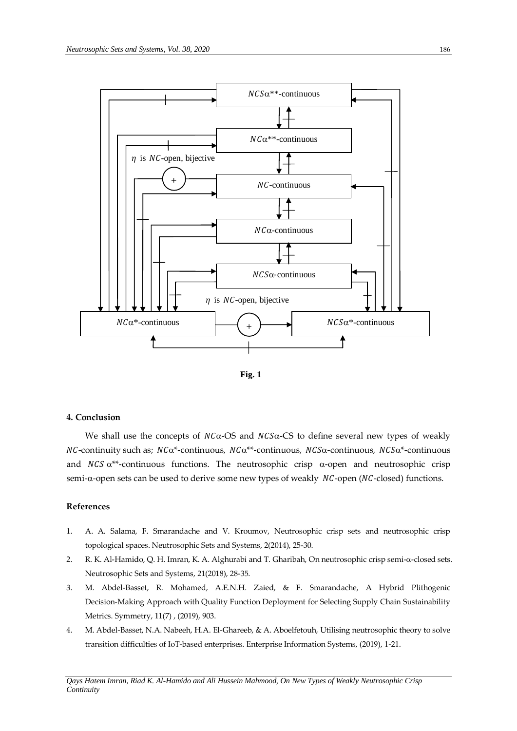



### **4. Conclusion**

We shall use the concepts of  $NCa$ -OS and  $NCS\alpha$ -CS to define several new types of weakly  $NC$ -continuity such as;  $NC\alpha^*$ -continuous,  $NC\alpha^{**}$ -continuous,  $NCS\alpha$ -continuous,  $NCS\alpha^*$ -continuous and  $NCS \alpha^{**}$ -continuous functions. The neutrosophic crisp  $\alpha$ -open and neutrosophic crisp  $semi-\alpha$ -open sets can be used to derive some new types of weakly  $NC$ -open ( $NC$ -closed) functions.

## **References**

- 1. A. A. Salama, F. Smarandache and V. Kroumov, Neutrosophic crisp sets and neutrosophic crisp topological spaces. Neutrosophic Sets and Systems, 2(2014), 25-30.
- 2. R. K. Al-Hamido, Q. H. Imran, K. A. Alghurabi and T. Gharibah, On neutrosophic crisp semi- $\alpha$ -closed sets. Neutrosophic Sets and Systems, 21(2018), 28-35.
- 3. M. Abdel-Basset, R. Mohamed, A.E.N.H. Zaied, & F. Smarandache, A Hybrid Plithogenic Decision-Making Approach with Quality Function Deployment for Selecting Supply Chain Sustainability Metrics. Symmetry, 11(7) , (2019), 903.
- 4. M. Abdel-Basset, N.A. Nabeeh, H.A. El-Ghareeb, & A. Aboelfetouh, Utilising neutrosophic theory to solve transition difficulties of IoT-based enterprises. Enterprise Information Systems, (2019), 1-21.